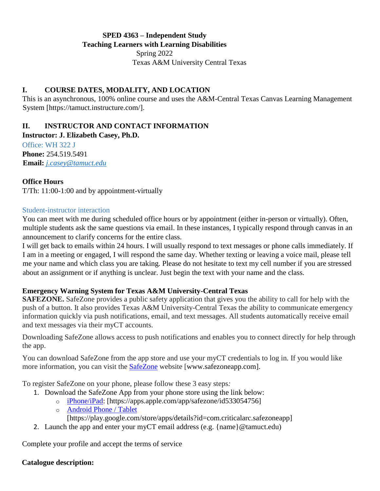## **SPED 4363 – Independent Study Teaching Learners with Learning Disabilities**  Spring 2022 Texas A&M University Central Texas

## **I. COURSE DATES, MODALITY, AND LOCATION**

This is an asynchronous, 100% online course and uses the A&M-Central Texas Canvas Learning Management System [https://tamuct.instructure.com/].

# **II. INSTRUCTOR AND CONTACT INFORMATION**

**Instructor: J. Elizabeth Casey, Ph.D.** 

Office: WH 322 J **Phone:** 254.519.5491 **Email:** *j.casey@tamuct.edu*

### **Office Hours**

T/Th: 11:00-1:00 and by appointment-virtually

#### Student-instructor interaction

You can meet with me during scheduled office hours or by appointment (either in-person or virtually). Often, multiple students ask the same questions via email. In these instances, I typically respond through canvas in an announcement to clarify concerns for the entire class.

I will get back to emails within 24 hours. I will usually respond to text messages or phone calls immediately. If I am in a meeting or engaged, I will respond the same day. Whether texting or leaving a voice mail, please tell me your name and which class you are taking. Please do not hesitate to text my cell number if you are stressed about an assignment or if anything is unclear. Just begin the text with your name and the class.

### **Emergency Warning System for Texas A&M University-Central Texas**

**SAFEZONE.** SafeZone provides a public safety application that gives you the ability to call for help with the push of a button. It also provides Texas A&M University-Central Texas the ability to communicate emergency information quickly via push notifications, email, and text messages. All students automatically receive email and text messages via their myCT accounts.

Downloading SafeZone allows access to push notifications and enables you to connect directly for help through the app.

You can download SafeZone from the app store and use your myCT credentials to log in. If you would like more information, you can visit the [SafeZone](http://www.safezoneapp.com/) website [www.safezoneapp.com].

To register SafeZone on your phone, please follow these 3 easy steps*:*

- 1. Download the SafeZone App from your phone store using the link below:
	- o [iPhone/iPad:](https://apps.apple.com/app/safezone/id533054756) [https://apps.apple.com/app/safezone/id533054756]
	- o [Android Phone / Tablet](https://play.google.com/store/apps/details?id=com.criticalarc.safezoneapp)
		- [https://play.google.com/store/apps/details?id=com.criticalarc.safezoneapp]
- 2. Launch the app and enter your myCT email address (e.g. {name}@tamuct.edu)

Complete your profile and accept the terms of service

### **Catalogue description:**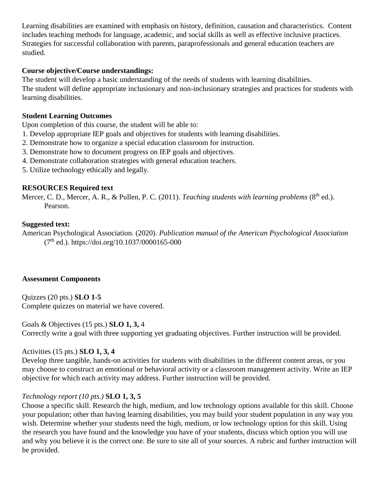Learning disabilities are examined with emphasis on history, definition, causation and characteristics. Content includes teaching methods for language, academic, and social skills as well as effective inclusive practices. Strategies for successful collaboration with parents, paraprofessionals and general education teachers are studied.

## **Course objective/Course understandings:**

The student will develop a basic understanding of the needs of students with learning disabilities. The student will define appropriate inclusionary and non-inclusionary strategies and practices for students with learning disabilities.

## **Student Learning Outcomes**

Upon completion of this course, the student will be able to:

- 1. Develop appropriate IEP goals and objectives for students with learning disabilities.
- 2. Demonstrate how to organize a special education classroom for instruction.
- 3. Demonstrate how to document progress on IEP goals and objectives.
- 4. Demonstrate collaboration strategies with general education teachers.
- 5. Utilize technology ethically and legally.

### **RESOURCES Required text**

Mercer, C. D., Mercer, A. R., & Pullen, P. C. (2011). *Teaching students with learning problems* (8<sup>th</sup> ed.). Pearson.

## **Suggested text:**

American Psychological Association. (2020). *Publication manual of the American Psychological Association*  $(7<sup>th</sup>$  ed.). https://doi.org/10.1037/0000165-000

#### **Assessment Components**

Quizzes (20 pts.) **SLO 1-5**  Complete quizzes on material we have covered.

## Goals & Objectives (15 pts.) **SLO 1, 3,** 4

Correctly write a goal with three supporting yet graduating objectives. Further instruction will be provided.

### Activities (15 pts.) **SLO 1, 3, 4**

Develop three tangible, hands-on activities for students with disabilities in the different content areas, or you may choose to construct an emotional or behavioral activity or a classroom management activity. Write an IEP objective for which each activity may address. Further instruction will be provided.

### *Technology report (10 pts.)* **SLO 1, 3, 5**

Choose a specific skill. Research the high, medium, and low technology options available for this skill. Choose your population; other than having learning disabilities, you may build your student population in any way you wish. Determine whether your students need the high, medium, or low technology option for this skill. Using the research you have found and the knowledge you have of your students, discuss which option you will use and why you believe it is the correct one. Be sure to site all of your sources. A rubric and further instruction will be provided.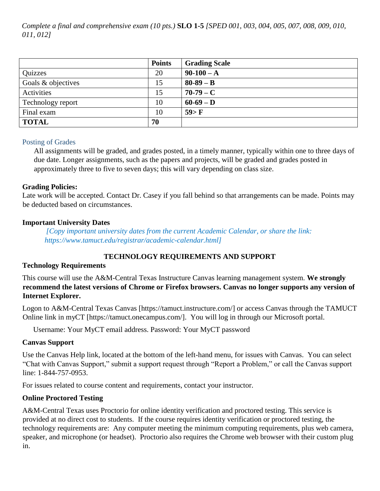*Complete a final and comprehensive exam (10 pts.)* **SLO 1-5** *[SPED 001, 003, 004, 005, 007, 008, 009, 010, 011, 012]* 

|                    | <b>Points</b> | <b>Grading Scale</b> |
|--------------------|---------------|----------------------|
| Quizzes            | 20            | $90-100 - A$         |
| Goals & objectives | 15            | $80-89-B$            |
| Activities         | 15            | $70-79-C$            |
| Technology report  | 10            | $60-69 - D$          |
| Final exam         | 10            | 59>F                 |
| <b>TOTAL</b>       | 70            |                      |

#### Posting of Grades

All assignments will be graded, and grades posted, in a timely manner, typically within one to three days of due date. Longer assignments, such as the papers and projects, will be graded and grades posted in approximately three to five to seven days; this will vary depending on class size.

### **Grading Policies:**

Late work will be accepted. Contact Dr. Casey if you fall behind so that arrangements can be made. Points may be deducted based on circumstances.

#### **Important University Dates**

*[Copy important university dates from the current Academic Calendar, or share the link: https://www.tamuct.edu/registrar/academic-calendar.html]*

## **TECHNOLOGY REQUIREMENTS AND SUPPORT**

### **Technology Requirements**

This course will use the A&M-Central Texas Instructure Canvas learning management system. **We strongly recommend the latest versions of Chrome or Firefox browsers. Canvas no longer supports any version of Internet Explorer.**

Logon to A&M-Central Texas Canvas [https://tamuct.instructure.com/] or access Canvas through the TAMUCT Online link in myCT [https://tamuct.onecampus.com/]. You will log in through our Microsoft portal.

Username: Your MyCT email address. Password: Your MyCT password

### **Canvas Support**

Use the Canvas Help link, located at the bottom of the left-hand menu, for issues with Canvas. You can select "Chat with Canvas Support," submit a support request through "Report a Problem," or call the Canvas support line: 1-844-757-0953.

For issues related to course content and requirements, contact your instructor.

### **Online Proctored Testing**

A&M-Central Texas uses Proctorio for online identity verification and proctored testing. This service is provided at no direct cost to students. If the course requires identity verification or proctored testing, the technology requirements are: Any computer meeting the minimum computing requirements, plus web camera, speaker, and microphone (or headset). Proctorio also requires the Chrome web browser with their custom plug in.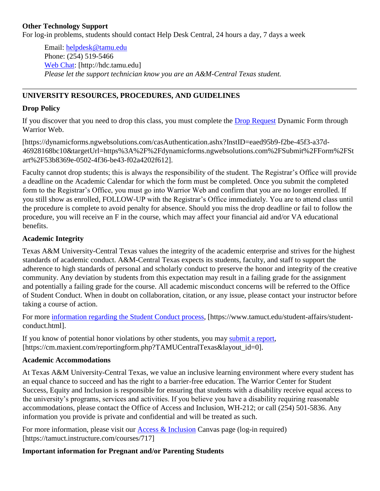### **Other Technology Support**

For log-in problems, students should contact Help Desk Central, 24 hours a day, 7 days a week

Email: [helpdesk@tamu.edu](mailto:helpdesk@tamu.edu) Phone: (254) 519-5466 [Web Chat:](http://hdc.tamu.edu/) [http://hdc.tamu.edu] *Please let the support technician know you are an A&M-Central Texas student.*

## **UNIVERSITY RESOURCES, PROCEDURES, AND GUIDELINES**

#### **Drop Policy**

If you discover that you need to drop this class, you must complete the [Drop Request](https://dynamicforms.ngwebsolutions.com/casAuthentication.ashx?InstID=eaed95b9-f2be-45f3-a37d-46928168bc10&targetUrl=https%3A%2F%2Fdynamicforms.ngwebsolutions.com%2FSubmit%2FForm%2FStart%2F53b8369e-0502-4f36-be43-f02a4202f612) Dynamic Form through Warrior Web.

[https://dynamicforms.ngwebsolutions.com/casAuthentication.ashx?InstID=eaed95b9-f2be-45f3-a37d-46928168bc10&targetUrl=https%3A%2F%2Fdynamicforms.ngwebsolutions.com%2FSubmit%2FForm%2FSt art%2F53b8369e-0502-4f36-be43-f02a4202f612].

Faculty cannot drop students; this is always the responsibility of the student. The Registrar's Office will provide a deadline on the Academic Calendar for which the form must be completed. Once you submit the completed form to the Registrar's Office, you must go into Warrior Web and confirm that you are no longer enrolled. If you still show as enrolled, FOLLOW-UP with the Registrar's Office immediately. You are to attend class until the procedure is complete to avoid penalty for absence. Should you miss the drop deadline or fail to follow the procedure, you will receive an F in the course, which may affect your financial aid and/or VA educational benefits.

## **Academic Integrity**

Texas A&M University-Central Texas values the integrity of the academic enterprise and strives for the highest standards of academic conduct. A&M-Central Texas expects its students, faculty, and staff to support the adherence to high standards of personal and scholarly conduct to preserve the honor and integrity of the creative community. Any deviation by students from this expectation may result in a failing grade for the assignment and potentially a failing grade for the course. All academic misconduct concerns will be referred to the Office of Student Conduct. When in doubt on collaboration, citation, or any issue, please contact your instructor before taking a course of action.

For more [information](https://nam04.safelinks.protection.outlook.com/?url=https%3A%2F%2Fwww.tamuct.edu%2Fstudent-affairs%2Fstudent-conduct.html&data=04%7C01%7Clisa.bunkowski%40tamuct.edu%7Ccfb6e486f24745f53e1a08d910055cb2%7C9eed4e3000f744849ff193ad8005acec%7C0%7C0%7C637558437485252160%7CUnknown%7CTWFpbGZsb3d8eyJWIjoiMC4wLjAwMDAiLCJQIjoiV2luMzIiLCJBTiI6Ik1haWwiLCJXVCI6Mn0%3D%7C1000&sdata=yjftDEVHvLX%2FhM%2FcFU0B99krV1RgEWR%2BJ%2BhvtoR6TYk%3D&reserved=0) regarding the Student Conduct process, [https://www.tamuct.edu/student-affairs/studentconduct.html].

If you know of potential honor violations by other students, you may [submit](https://nam04.safelinks.protection.outlook.com/?url=https%3A%2F%2Fcm.maxient.com%2Freportingform.php%3FTAMUCentralTexas%26layout_id%3D0&data=04%7C01%7Clisa.bunkowski%40tamuct.edu%7Ccfb6e486f24745f53e1a08d910055cb2%7C9eed4e3000f744849ff193ad8005acec%7C0%7C0%7C637558437485262157%7CUnknown%7CTWFpbGZsb3d8eyJWIjoiMC4wLjAwMDAiLCJQIjoiV2luMzIiLCJBTiI6Ik1haWwiLCJXVCI6Mn0%3D%7C1000&sdata=CXGkOa6uPDPX1IMZ87z3aZDq2n91xfHKu4MMS43Ejjk%3D&reserved=0) a report, [https://cm.maxient.com/reportingform.php?TAMUCentralTexas&layout\_id=0].

### **Academic Accommodations**

At Texas A&M University-Central Texas, we value an inclusive learning environment where every student has an equal chance to succeed and has the right to a barrier-free education. The Warrior Center for Student Success, Equity and Inclusion is responsible for ensuring that students with a disability receive equal access to the university's programs, services and activities. If you believe you have a disability requiring reasonable accommodations, please contact the Office of Access and Inclusion, WH-212; or call (254) 501-5836. Any information you provide is private and confidential and will be treated as such.

For more information, please visit our  $\Delta \csc \&$  Inclusion Canvas page (log-in required) [https://tamuct.instructure.com/courses/717]

### **Important information for Pregnant and/or Parenting Students**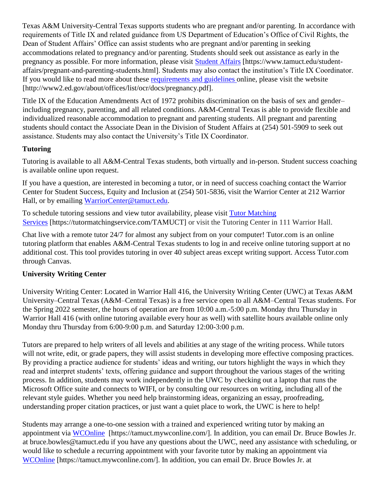Texas A&M University-Central Texas supports students who are pregnant and/or parenting. In accordance with requirements of Title IX and related guidance from US Department of Education's Office of Civil Rights, the Dean of Student Affairs' Office can assist students who are pregnant and/or parenting in seeking accommodations related to pregnancy and/or parenting. Students should seek out assistance as early in the pregnancy as possible. For more information, please visit [Student Affairs](https://www.tamuct.edu/student-affairs/pregnant-and-parenting-students.html) [https://www.tamuct.edu/studentaffairs/pregnant-and-parenting-students.html]. Students may also contact the institution's Title IX Coordinator. If you would like to read more about these [requirements and guidelines](http://www2.ed.gov/about/offices/list/ocr/docs/pregnancy.pdf) online, please visit the website [http://www2.ed.gov/about/offices/list/ocr/docs/pregnancy.pdf].

Title IX of the Education Amendments Act of 1972 prohibits discrimination on the basis of sex and gender– including pregnancy, parenting, and all related conditions. A&M-Central Texas is able to provide flexible and individualized reasonable accommodation to pregnant and parenting students. All pregnant and parenting students should contact the Associate Dean in the Division of Student Affairs at (254) 501-5909 to seek out assistance. Students may also contact the University's Title IX Coordinator.

## **Tutoring**

Tutoring is available to all A&M-Central Texas students, both virtually and in-person. Student success coaching is available online upon request.

If you have a question, are interested in becoming a tutor, or in need of success coaching contact the Warrior Center for Student Success, Equity and Inclusion at (254) 501-5836, visit the Warrior Center at 212 Warrior Hall, or by emailing [WarriorCenter@tamuct.edu.](mailto:WarriorCenter@tamuct.edu)

To schedule tutoring sessions and view tutor availability, please visit Tutor [Matching](https://tutormatchingservice.com/TAMUCT) [Services](https://tutormatchingservice.com/TAMUCT) [https://tutormatchingservice.com/TAMUCT] or visit the Tutoring Center in 111 Warrior Hall.

Chat live with a remote tutor 24/7 for almost any subject from on your computer! Tutor.com is an online tutoring platform that enables A&M-Central Texas students to log in and receive online tutoring support at no additional cost. This tool provides tutoring in over 40 subject areas except writing support. Access Tutor.com through Canvas.

## **University Writing Center**

University Writing Center: Located in Warrior Hall 416, the University Writing Center (UWC) at Texas A&M University–Central Texas (A&M–Central Texas) is a free service open to all A&M–Central Texas students. For the Spring 2022 semester, the hours of operation are from 10:00 a.m.-5:00 p.m. Monday thru Thursday in Warrior Hall 416 (with online tutoring available every hour as well) with satellite hours available online only Monday thru Thursday from 6:00-9:00 p.m. and Saturday 12:00-3:00 p.m.

Tutors are prepared to help writers of all levels and abilities at any stage of the writing process. While tutors will not write, edit, or grade papers, they will assist students in developing more effective composing practices. By providing a practice audience for students' ideas and writing, our tutors highlight the ways in which they read and interpret students' texts, offering guidance and support throughout the various stages of the writing process. In addition, students may work independently in the UWC by checking out a laptop that runs the Microsoft Office suite and connects to WIFI, or by consulting our resources on writing, including all of the relevant style guides. Whether you need help brainstorming ideas, organizing an essay, proofreading, understanding proper citation practices, or just want a quiet place to work, the UWC is here to help!

Students may arrange a one-to-one session with a trained and experienced writing tutor by making an appointment via [WCOnline](https://tamuct.mywconline.com/) [https://tamuct.mywconline.com/]. In addition, you can email Dr. Bruce Bowles Jr. at bruce.bowles@tamuct.edu if you have any questions about the UWC, need any assistance with scheduling, or would like to schedule a recurring appointment with your favorite tutor by making an appointment via [WCOnline](https://tamuct.mywconline.com/) [https://tamuct.mywconline.com/]. In addition, you can email Dr. Bruce Bowles Jr. at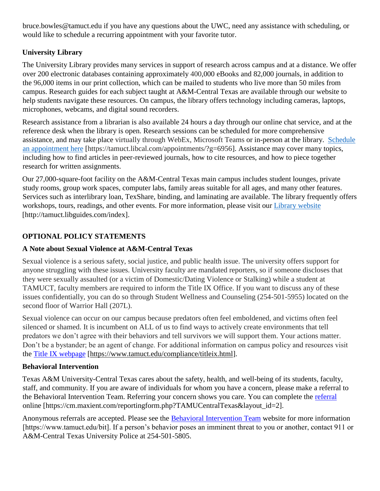bruce.bowles@tamuct.edu if you have any questions about the UWC, need any assistance with scheduling, or would like to schedule a recurring appointment with your favorite tutor.

# **University Library**

The University Library provides many services in support of research across campus and at a distance. We offer over 200 electronic databases containing approximately 400,000 eBooks and 82,000 journals, in addition to the 96,000 items in our print collection, which can be mailed to students who live more than 50 miles from campus. Research guides for each subject taught at A&M-Central Texas are available through our website to help students navigate these resources. On campus, the library offers technology including cameras, laptops, microphones, webcams, and digital sound recorders.

Research assistance from a librarian is also available 24 hours a day through our online chat service, and at the reference desk when the library is open. Research sessions can be scheduled for more comprehensive assistance, and may take place virtually through WebEx, Microsoft Teams or in-person at the library. [Schedule](https://nam04.safelinks.protection.outlook.com/?url=https%3A%2F%2Ftamuct.libcal.com%2Fappointments%2F%3Fg%3D6956&data=04%7C01%7Clisa.bunkowski%40tamuct.edu%7Cde2c07d9f5804f09518008d9ab7ba6ff%7C9eed4e3000f744849ff193ad8005acec%7C0%7C0%7C637729369835011558%7CUnknown%7CTWFpbGZsb3d8eyJWIjoiMC4wLjAwMDAiLCJQIjoiV2luMzIiLCJBTiI6Ik1haWwiLCJXVCI6Mn0%3D%7C3000&sdata=KhtjgRSAw9aq%2FoBsB6wyu8b7PSuGN5EGPypzr3Ty2No%3D&reserved=0) an [appointment](https://nam04.safelinks.protection.outlook.com/?url=https%3A%2F%2Ftamuct.libcal.com%2Fappointments%2F%3Fg%3D6956&data=04%7C01%7Clisa.bunkowski%40tamuct.edu%7Cde2c07d9f5804f09518008d9ab7ba6ff%7C9eed4e3000f744849ff193ad8005acec%7C0%7C0%7C637729369835011558%7CUnknown%7CTWFpbGZsb3d8eyJWIjoiMC4wLjAwMDAiLCJQIjoiV2luMzIiLCJBTiI6Ik1haWwiLCJXVCI6Mn0%3D%7C3000&sdata=KhtjgRSAw9aq%2FoBsB6wyu8b7PSuGN5EGPypzr3Ty2No%3D&reserved=0) here [https://tamuct.libcal.com/appointments/?g=6956]. Assistance may cover many topics, including how to find articles in peer-reviewed journals, how to cite resources, and how to piece together research for written assignments.

Our 27,000-square-foot facility on the A&M-Central Texas main campus includes student lounges, private study rooms, group work spaces, computer labs, family areas suitable for all ages, and many other features. Services such as interlibrary loan, TexShare, binding, and laminating are available. The library frequently offers workshops, tours, readings, and other events. For more information, please visit our Library [website](https://nam04.safelinks.protection.outlook.com/?url=https%3A%2F%2Ftamuct.libguides.com%2Findex&data=04%7C01%7Clisa.bunkowski%40tamuct.edu%7C7d8489e8839a4915335f08d916f067f2%7C9eed4e3000f744849ff193ad8005acec%7C0%7C0%7C637566044056484222%7CUnknown%7CTWFpbGZsb3d8eyJWIjoiMC4wLjAwMDAiLCJQIjoiV2luMzIiLCJBTiI6Ik1haWwiLCJXVCI6Mn0%3D%7C1000&sdata=2R755V6rcIyedGrd4Os5rkgn1PvhHKU3kUV1vBKiHFo%3D&reserved=0) [http://tamuct.libguides.com/index].

# **OPTIONAL POLICY STATEMENTS**

# **A Note about Sexual Violence at A&M-Central Texas**

Sexual violence is a serious safety, social justice, and public health issue. The university offers support for anyone struggling with these issues. University faculty are mandated reporters, so if someone discloses that they were sexually assaulted (or a victim of Domestic/Dating Violence or Stalking) while a student at TAMUCT, faculty members are required to inform the Title IX Office. If you want to discuss any of these issues confidentially, you can do so through Student Wellness and Counseling (254-501-5955) located on the second floor of Warrior Hall (207L).

Sexual violence can occur on our campus because predators often feel emboldened, and victims often feel silenced or shamed. It is incumbent on ALL of us to find ways to actively create environments that tell predators we don't agree with their behaviors and tell survivors we will support them. Your actions matter. Don't be a bystander; be an agent of change. For additional information on campus policy and resources visit the [Title IX webpage](https://www.tamuct.edu/compliance/titleix.html) [\[https://www.tamuct.edu/compliance/titleix.html\]](https://www.tamuct.edu/compliance/titleix.html).

# **Behavioral Intervention**

Texas A&M University-Central Texas cares about the safety, health, and well-being of its students, faculty, staff, and community. If you are aware of individuals for whom you have a concern, please make a referral to the Behavioral Intervention Team. Referring your concern shows you care. You can complete the [referral](https://cm.maxient.com/reportingform.php?TAMUCentralTexas&layout_id=2) online [https://cm.maxient.com/reportingform.php?TAMUCentralTexas&layout\_id=2].

Anonymous referrals are accepted. Please see the [Behavioral Intervention Team](https://www.tamuct.edu/bit) website for more information [https://www.tamuct.edu/bit]. If a person's behavior poses an imminent threat to you or another, contact 911 or A&M-Central Texas University Police at 254-501-5805.